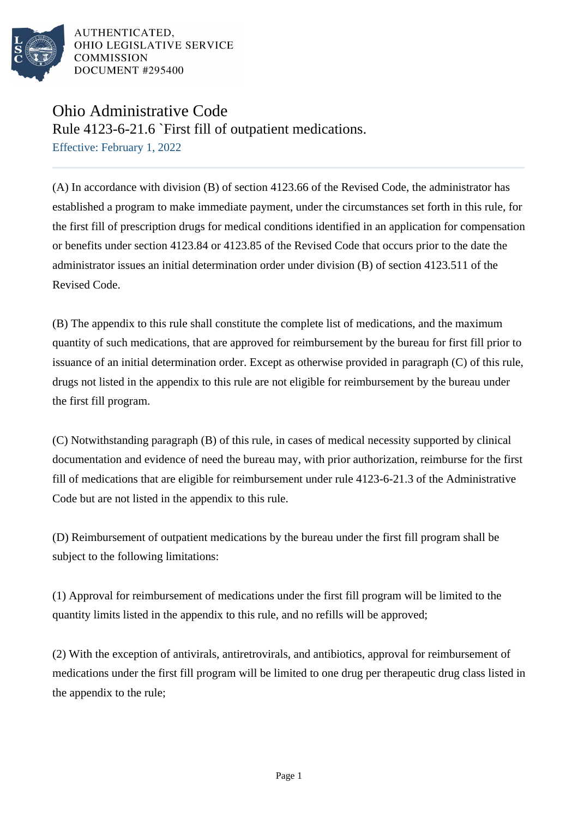

AUTHENTICATED. OHIO LEGISLATIVE SERVICE **COMMISSION** DOCUMENT #295400

## Ohio Administrative Code

Rule 4123-6-21.6 `First fill of outpatient medications.

Effective: February 1, 2022

(A) In accordance with division (B) of section 4123.66 of the Revised Code, the administrator has established a program to make immediate payment, under the circumstances set forth in this rule, for the first fill of prescription drugs for medical conditions identified in an application for compensation or benefits under section 4123.84 or 4123.85 of the Revised Code that occurs prior to the date the administrator issues an initial determination order under division (B) of section 4123.511 of the Revised Code.

(B) The appendix to this rule shall constitute the complete list of medications, and the maximum quantity of such medications, that are approved for reimbursement by the bureau for first fill prior to issuance of an initial determination order. Except as otherwise provided in paragraph (C) of this rule, drugs not listed in the appendix to this rule are not eligible for reimbursement by the bureau under the first fill program.

(C) Notwithstanding paragraph (B) of this rule, in cases of medical necessity supported by clinical documentation and evidence of need the bureau may, with prior authorization, reimburse for the first fill of medications that are eligible for reimbursement under rule 4123-6-21.3 of the Administrative Code but are not listed in the appendix to this rule.

(D) Reimbursement of outpatient medications by the bureau under the first fill program shall be subject to the following limitations:

(1) Approval for reimbursement of medications under the first fill program will be limited to the quantity limits listed in the appendix to this rule, and no refills will be approved;

(2) With the exception of antivirals, antiretrovirals, and antibiotics, approval for reimbursement of medications under the first fill program will be limited to one drug per therapeutic drug class listed in the appendix to the rule;